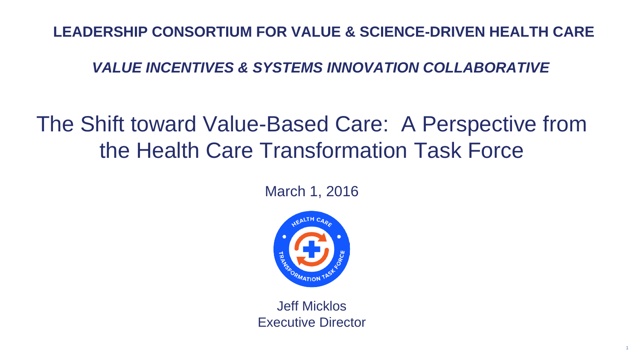# The Shift toward Value-Based Care: A Perspective from the Health Care Transformation Task Force



#### March 1, 2016

Jeff Micklos Executive Director



#### **LEADERSHIP CONSORTIUM FOR VALUE & SCIENCE-DRIVEN HEALTH CARE**

#### *VALUE INCENTIVES & SYSTEMS INNOVATION COLLABORATIVE*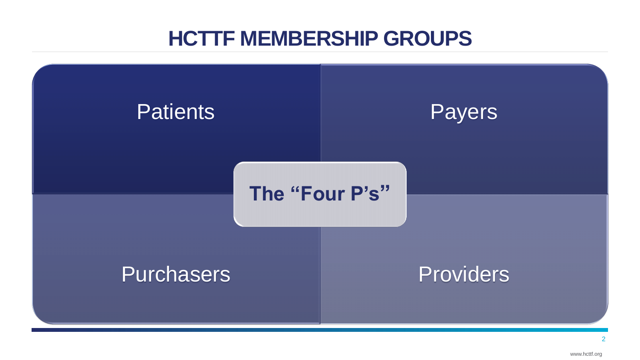www.hcttf.org

# **HCTTF MEMBERSHIP GROUPS**





## **The "Four P's"**

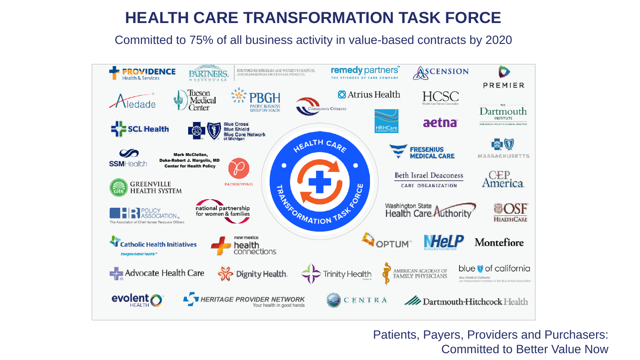### **HEALTH CARE TRANSFORMATION TASK FORCE**

#### Committed to 75% of all business activity in value-based contracts by 2020



Patients, Payers, Providers and Purchasers: Committed to Better Value Now

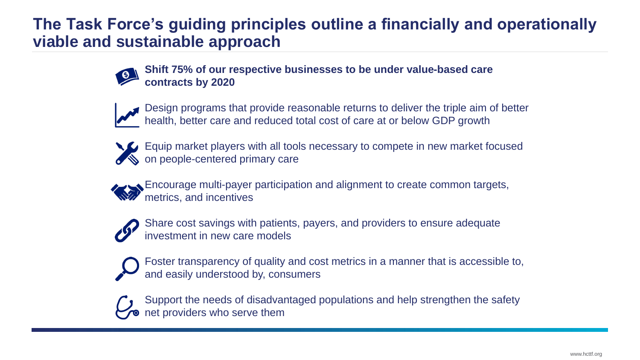

### **The Task Force's guiding principles outline a financially and operationally viable and sustainable approach**



**contracts by 2020**





 $\bigotimes$  on people-centered primary care



- **Shift 75% of our respective businesses to be under value-based care**
- Design programs that provide reasonable returns to deliver the triple aim of better health, better care and reduced total cost of care at or below GDP growth
- Equip market players with all tools necessary to compete in new market focused
	- Encourage multi-payer participation and alignment to create common targets,
	- Share cost savings with patients, payers, and providers to ensure adequate
	- Foster transparency of quality and cost metrics in a manner that is accessible to,
	- Support the needs of disadvantaged populations and help strengthen the safety

metrics, and incentives



and easily understood by, consumers



net providers who serve them

investment in new care models

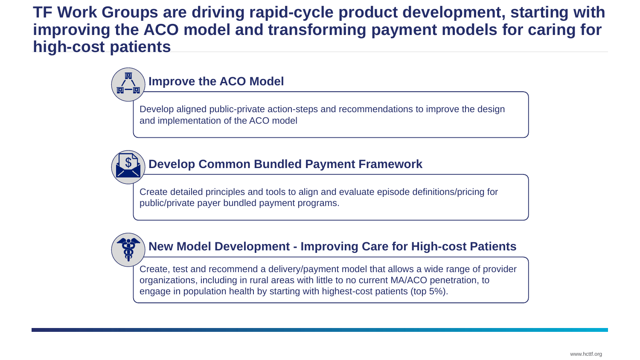

#### **TF Work Groups are driving rapid-cycle product development, starting with improving the ACO model and transforming payment models for caring for high-cost patients**

Create, test and recommend a delivery/payment model that allows a wide range of provider organizations, including in rural areas with little to no current MA/ACO penetration, to engage in population health by starting with highest-cost patients (top 5%).

#### **New Model Development - Improving Care for High-cost Patients**

Create detailed principles and tools to align and evaluate episode definitions/pricing for public/private payer bundled payment programs.



**Develop Common Bundled Payment Framework**

Develop aligned public-private action-steps and recommendations to improve the design

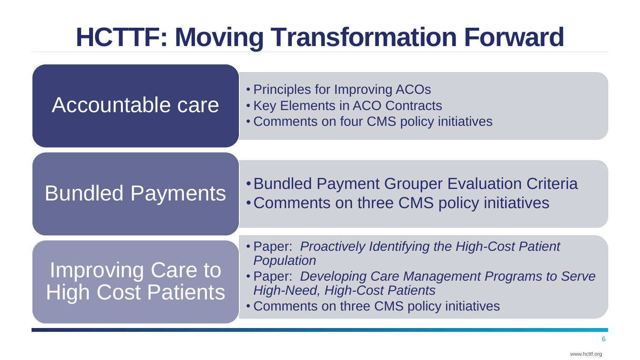# **HCTTF: Moving Transformation Forward**

• Principles for Improving ACOs • Key Elements in ACO Contracts • Comments on four CMS policy initiatives

•Bundled Payment Grouper Evaluation Criteria

• Paper: *Proactively Identifying the High-Cost Patient* 



• Paper: *Developing Care Management Programs to Serve High-Need, High-Cost Patients*

• Comments on three CMS policy initiatives

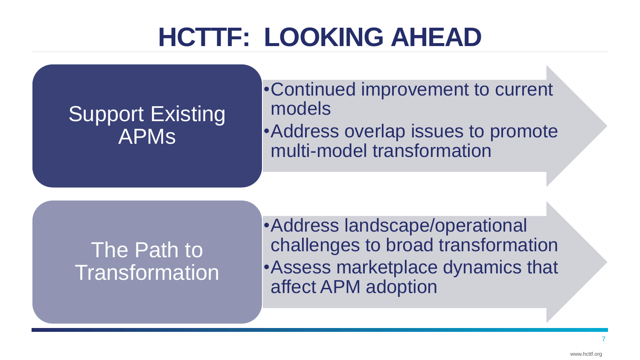# **HCTTF: LOOKING AHEAD**

## Support Existing APMs

- •Continued improvement to current models
- •Address overlap issues to promote multi-model transformation

•Address landscape/operational challenges to broad transformation •Assess marketplace dynamics that affect APM adoption

# The Path to Transformation